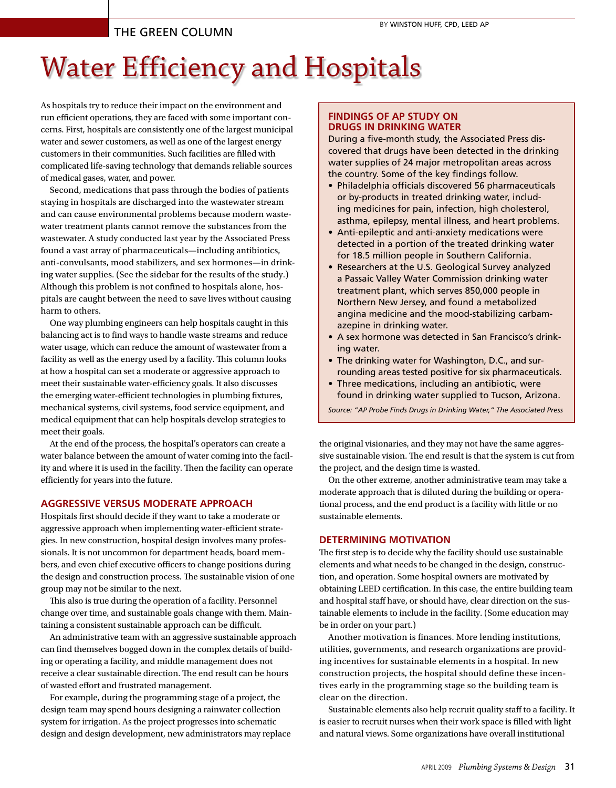# The Green Column

# Water Efficiency and Hospitals

As hospitals try to reduce their impact on the environment and run efficient operations, they are faced with some important concerns. First, hospitals are consistently one of the largest municipal water and sewer customers, as well as one of the largest energy customers in their communities. Such facilities are filled with complicated life-saving technology that demands reliable sources of medical gases, water, and power.

Second, medications that pass through the bodies of patients staying in hospitals are discharged into the wastewater stream and can cause environmental problems because modern wastewater treatment plants cannot remove the substances from the wastewater. A study conducted last year by the Associated Press found a vast array of pharmaceuticals—including antibiotics, anti-convulsants, mood stabilizers, and sex hormones—in drinking water supplies. (See the sidebar for the results of the study.) Although this problem is not confined to hospitals alone, hospitals are caught between the need to save lives without causing harm to others.

One way plumbing engineers can help hospitals caught in this balancing act is to find ways to handle waste streams and reduce water usage, which can reduce the amount of wastewater from a facility as well as the energy used by a facility. This column looks at how a hospital can set a moderate or aggressive approach to meet their sustainable water-efficiency goals. It also discusses the emerging water-efficient technologies in plumbing fixtures, mechanical systems, civil systems, food service equipment, and medical equipment that can help hospitals develop strategies to meet their goals.

At the end of the process, the hospital's operators can create a water balance between the amount of water coming into the facility and where it is used in the facility. Then the facility can operate efficiently for years into the future.

#### **AGGRESSIVE VERSUS MODERATE APPROACH**

Hospitals first should decide if they want to take a moderate or aggressive approach when implementing water-efficient strategies. In new construction, hospital design involves many professionals. It is not uncommon for department heads, board members, and even chief executive officers to change positions during the design and construction process. The sustainable vision of one group may not be similar to the next.

This also is true during the operation of a facility. Personnel change over time, and sustainable goals change with them. Maintaining a consistent sustainable approach can be difficult.

An administrative team with an aggressive sustainable approach can find themselves bogged down in the complex details of building or operating a facility, and middle management does not receive a clear sustainable direction. The end result can be hours of wasted effort and frustrated management.

For example, during the programming stage of a project, the design team may spend hours designing a rainwater collection system for irrigation. As the project progresses into schematic design and design development, new administrators may replace

# **FINDINGS OF AP STUDY ON DRUGS IN DRINKING WATER**

During a five-month study, the Associated Press discovered that drugs have been detected in the drinking water supplies of 24 major metropolitan areas across the country. Some of the key findings follow.

- Philadelphia officials discovered 56 pharmaceuticals or by-products in treated drinking water, including medicines for pain, infection, high cholesterol, asthma, epilepsy, mental illness, and heart problems.
- Anti-epileptic and anti-anxiety medications were detected in a portion of the treated drinking water for 18.5 million people in Southern California.
- Researchers at the U.S. Geological Survey analyzed a Passaic Valley Water Commission drinking water treatment plant, which serves 850,000 people in Northern New Jersey, and found a metabolized angina medicine and the mood-stabilizing carbamazepine in drinking water.
- A sex hormone was detected in San Francisco's drinking water.
- The drinking water for Washington, D.C., and surrounding areas tested positive for six pharmaceuticals.
- Three medications, including an antibiotic, were found in drinking water supplied to Tucson, Arizona.

*Source: "AP Probe Finds Drugs in Drinking Water," The Associated Press*

the original visionaries, and they may not have the same aggressive sustainable vision. The end result is that the system is cut from the project, and the design time is wasted.

On the other extreme, another administrative team may take a moderate approach that is diluted during the building or operational process, and the end product is a facility with little or no sustainable elements.

#### **DETERMINING MOTIVATION**

The first step is to decide why the facility should use sustainable elements and what needs to be changed in the design, construction, and operation. Some hospital owners are motivated by obtaining LEED certification. In this case, the entire building team and hospital staff have, or should have, clear direction on the sustainable elements to include in the facility. (Some education may be in order on your part.)

Another motivation is finances. More lending institutions, utilities, governments, and research organizations are providing incentives for sustainable elements in a hospital. In new construction projects, the hospital should define these incentives early in the programming stage so the building team is clear on the direction.

Sustainable elements also help recruit quality staff to a facility. It is easier to recruit nurses when their work space is filled with light and natural views. Some organizations have overall institutional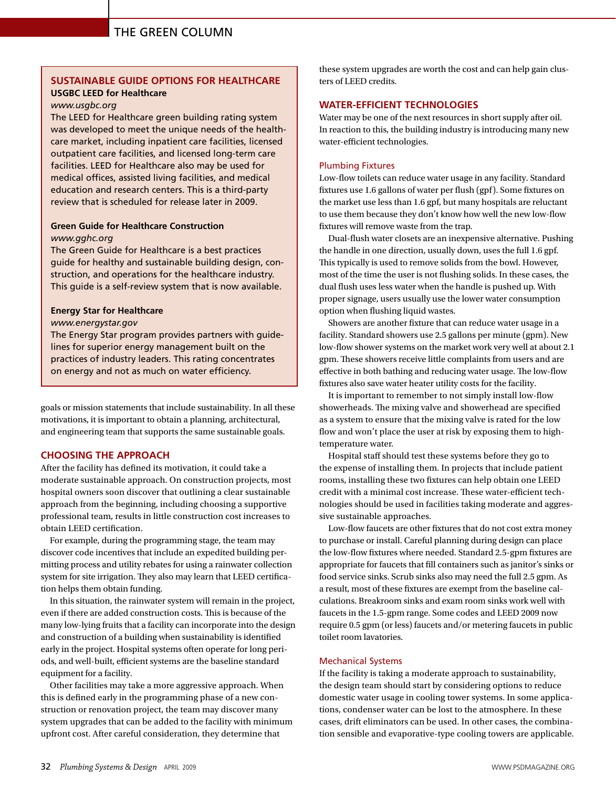# THE GREEN COLUMN

## **SUSTAINABLE GUIDE OPTIONS FOR HEALTHCARE USGBC LEED for Healthcare**

#### *www.usgbc.org*

The LEED for Healthcare green building rating system was developed to meet the unique needs of the healthcare market, including inpatient care facilities, licensed outpatient care facilities, and licensed long-term care facilities. LEED for Healthcare also may be used for medical offices, assisted living facilities, and medical education and research centers. This is a third-party review that is scheduled for release later in 2009.

## **Green Guide for Healthcare Construction**  *www.gghc.org*

The Green Guide for Healthcare is a best practices guide for healthy and sustainable building design, construction, and operations for the healthcare industry. This guide is a self-review system that is now available.

#### **Energy Star for Healthcare**

#### *www.energystar.gov*

The Energy Star program provides partners with guidelines for superior energy management built on the practices of industry leaders. This rating concentrates on energy and not as much on water efficiency.

goals or mission statements that include sustainability. In all these motivations, it is important to obtain a planning, architectural, and engineering team that supports the same sustainable goals.

# **CHOOSING THE APPROACH**

After the facility has defined its motivation, it could take a moderate sustainable approach. On construction projects, most hospital owners soon discover that outlining a clear sustainable approach from the beginning, including choosing a supportive professional team, results in little construction cost increases to obtain LEED certification.

For example, during the programming stage, the team may discover code incentives that include an expedited building permitting process and utility rebates for using a rainwater collection system for site irrigation. They also may learn that LEED certification helps them obtain funding.

In this situation, the rainwater system will remain in the project, even if there are added construction costs. This is because of the many low-lying fruits that a facility can incorporate into the design and construction of a building when sustainability is identified early in the project. Hospital systems often operate for long periods, and well-built, efficient systems are the baseline standard equipment for a facility.

Other facilities may take a more aggressive approach. When this is defined early in the programming phase of a new construction or renovation project, the team may discover many system upgrades that can be added to the facility with minimum upfront cost. After careful consideration, they determine that

these system upgrades are worth the cost and can help gain clusters of LEED credits.

# **WATER-EFFICIENT TECHNOLOGIES**

Water may be one of the next resources in short supply after oil. In reaction to this, the building industry is introducing many new water-efficient technologies.

#### Plumbing Fixtures

Low-flow toilets can reduce water usage in any facility. Standard fixtures use 1.6 gallons of water per flush (gpf). Some fixtures on the market use less than 1.6 gpf, but many hospitals are reluctant to use them because they don't know how well the new low-flow fixtures will remove waste from the trap.

Dual-flush water closets are an inexpensive alternative. Pushing the handle in one direction, usually down, uses the full 1.6 gpf. This typically is used to remove solids from the bowl. However, most of the time the user is not flushing solids. In these cases, the dual flush uses less water when the handle is pushed up. With proper signage, users usually use the lower water consumption option when flushing liquid wastes.

Showers are another fixture that can reduce water usage in a facility. Standard showers use 2.5 gallons per minute (gpm). New low-flow shower systems on the market work very well at about 2.1 gpm. These showers receive little complaints from users and are effective in both bathing and reducing water usage. The low-flow fixtures also save water heater utility costs for the facility.

It is important to remember to not simply install low-flow showerheads. The mixing valve and showerhead are specified as a system to ensure that the mixing valve is rated for the low flow and won't place the user at risk by exposing them to hightemperature water.

Hospital staff should test these systems before they go to the expense of installing them. In projects that include patient rooms, installing these two fixtures can help obtain one LEED credit with a minimal cost increase. These water-efficient technologies should be used in facilities taking moderate and aggressive sustainable approaches.

Low-flow faucets are other fixtures that do not cost extra money to purchase or install. Careful planning during design can place the low-flow fixtures where needed. Standard 2.5-gpm fixtures are appropriate for faucets that fill containers such as janitor's sinks or food service sinks. Scrub sinks also may need the full 2.5 gpm. As a result, most of these fixtures are exempt from the baseline calculations. Breakroom sinks and exam room sinks work well with faucets in the 1.5-gpm range. Some codes and LEED 2009 now require 0.5 gpm (or less) faucets and/or metering faucets in public toilet room lavatories.

#### Mechanical Systems

If the facility is taking a moderate approach to sustainability, the design team should start by considering options to reduce domestic water usage in cooling tower systems. In some applications, condenser water can be lost to the atmosphere. In these cases, drift eliminators can be used. In other cases, the combination sensible and evaporative-type cooling towers are applicable.